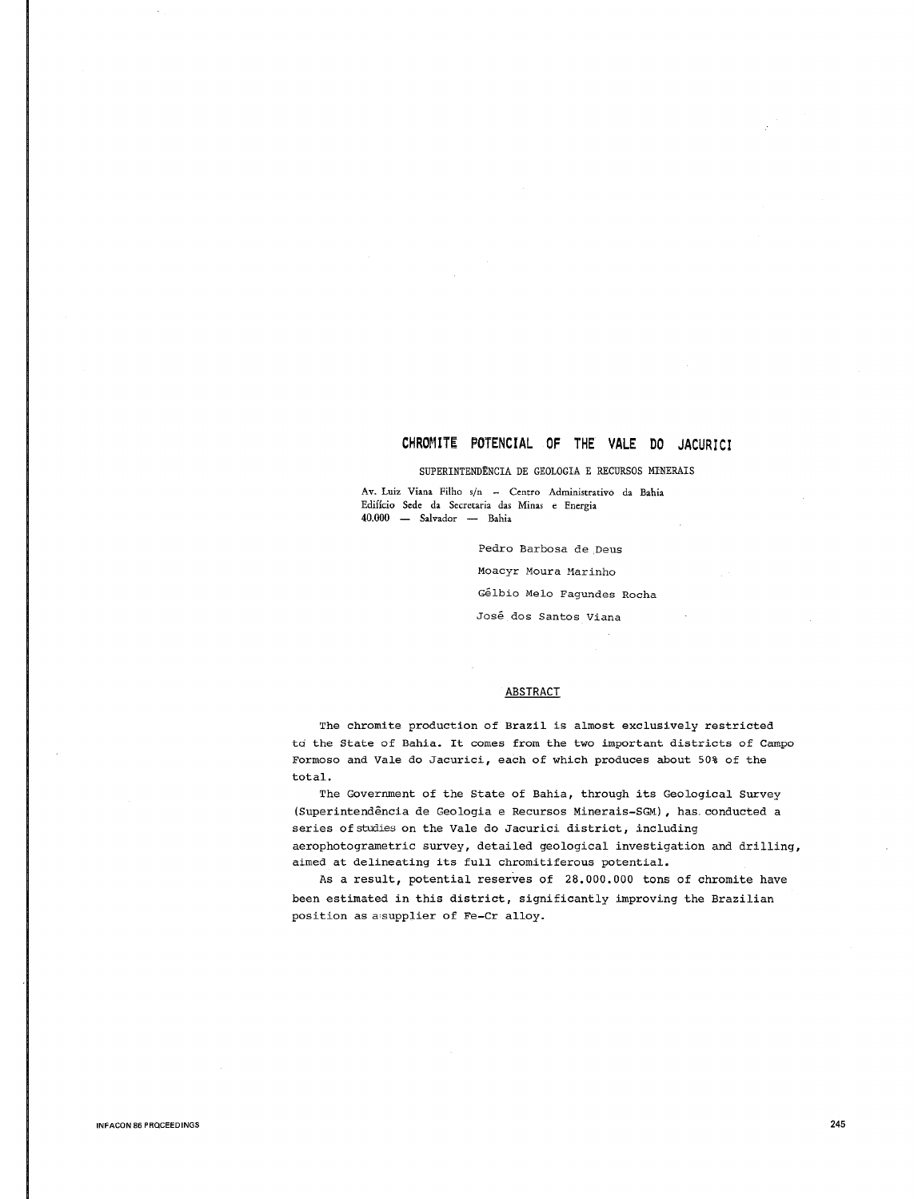# CHROMITE POTENCIAL OF THE VALE DO JACURICI

# SUPERINTENDENCIA DE GEOLOGIA E RECURSOS MINERAIS

**Av. Luiz Viana Filho s/n - Centro Administrativo da Bahia Edifkio Sede da Secretaria das Minas e Energia**   $40.000$  - Salvador - Bahia

> Pedro Barbosa de .Deus Moacyr Moura Marinho Gelbio Melo Fagundes Rocha Jose dos Santos Viana

# **ABSTRACT**

The chromite production of Brazil is almost exclusively restricted ta the State of Bahia. It comes from the two important districts of Campo Formoso and Vale do Jacurici, each of which produces about 50% of the total.

The Government of the State of Bahia, through its Geological Survey (Superintendência de Geologia e Recursos Minerais-SGM), has. conducted a series of studies on the Vale do Jacurici district, including aerophotogrametric survey, detailed geological investigation and drilling, aimed at delineating its full chromitiferous potential.

As a result, potential reserves of 28.000.000 tons of chromite have been estimated in this district, significantly improving the Brazilian position as a•supplier of Fe-Cr alloy.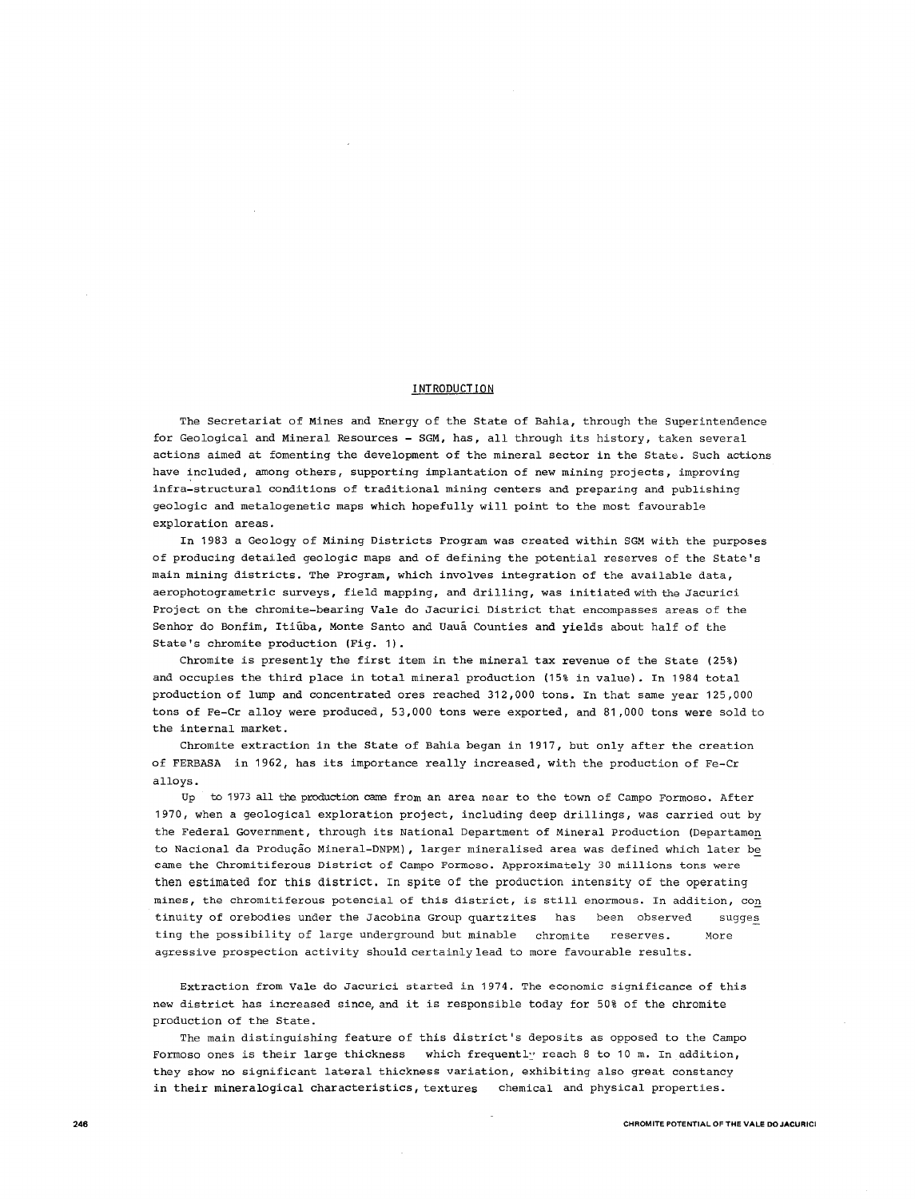# **INTRODUCTION**

The Secretariat of Mines and Energy of the State of Bahia, through the Superintendence for Geological and Mineral Resources - SGM, has, all through its history, taken several actions aimed at fomenting the development of the mineral sector in the State. Such actions have included, among others, supporting implantation of new mining projects, improving infra-structural conditions of traditional mining centers and preparing and publishing geologic and metalogenetic maps which hopefully will point to the most favourable exploration areas.

In 1983 a Geology of Mining Districts Program was created within SGM with the purposes of producing detailed geologic maps and of defining the potential reserves of the State's main mining districts. The Program, which involves integration of the available data, aerophotogrametric surveys, field mapping, and drilling, was initiated with the Jacurici Project on the chromite-bearing Vale do Jacurici District that encompasses areas of the Senhor do Bonfim, Itiuba, Monte Santo and Uaua Counties and yields about half of the State's chromite production (Fig. 1).

Chromite is presently the first item in the mineral tax revenue of the State (25%) and occupies the third place in total mineral production (15% in value). In 1984 total production of lump and concentrated ores reached 312,000 tons. In that same year 125,000 tons of Fe-Cr alloy were produced, 53,000 tons were exported, and 81 ,000 tons were sold to the internal market.

Chromite extraction in the State of Bahia began in 1917, but only after the creation of FERBASA in 1962, has its importance really increased, with the production of Fe-Cr alloys.

Up to 1973 all the production cane from an area near to the town of Campo Formoso. After 1970, when a geological exploration project, including deep drillings, was carried out by the Federal Government, through its National Department of Mineral Production (Departamen to Nacional da Produção Mineral-DNPM), larger mineralised area was defined which later be ~ame **the Chromitiferous District of Campo Formoso. Approximately 30 millions tons were**  then estimated for this district. In spite of the production intensity of the operating mines, the chromitiferous potencial of this district, is still enormous. In addition, con tinuity of orebodies under the Jacobina Group quartzites has been observed sugges ting the possibility of large underground but minable chromite reserves. More agressive prospection activity should certainly lead to more favourable results.

Extraction from Vale do Jacurici started in 1974. The economic significance of this new district has increased since, and it is responsible today for 50% of the chromite production of the State.

The main distinguishing feature of this district's deposits as opposed to the Campo Formoso ones is their large thickness which frequently reach 8 to 10 m. In addition, they show no significant lateral thickness variation, exhibiting also great constancy in their mineralogical characteristics, textures chemical and physical properties.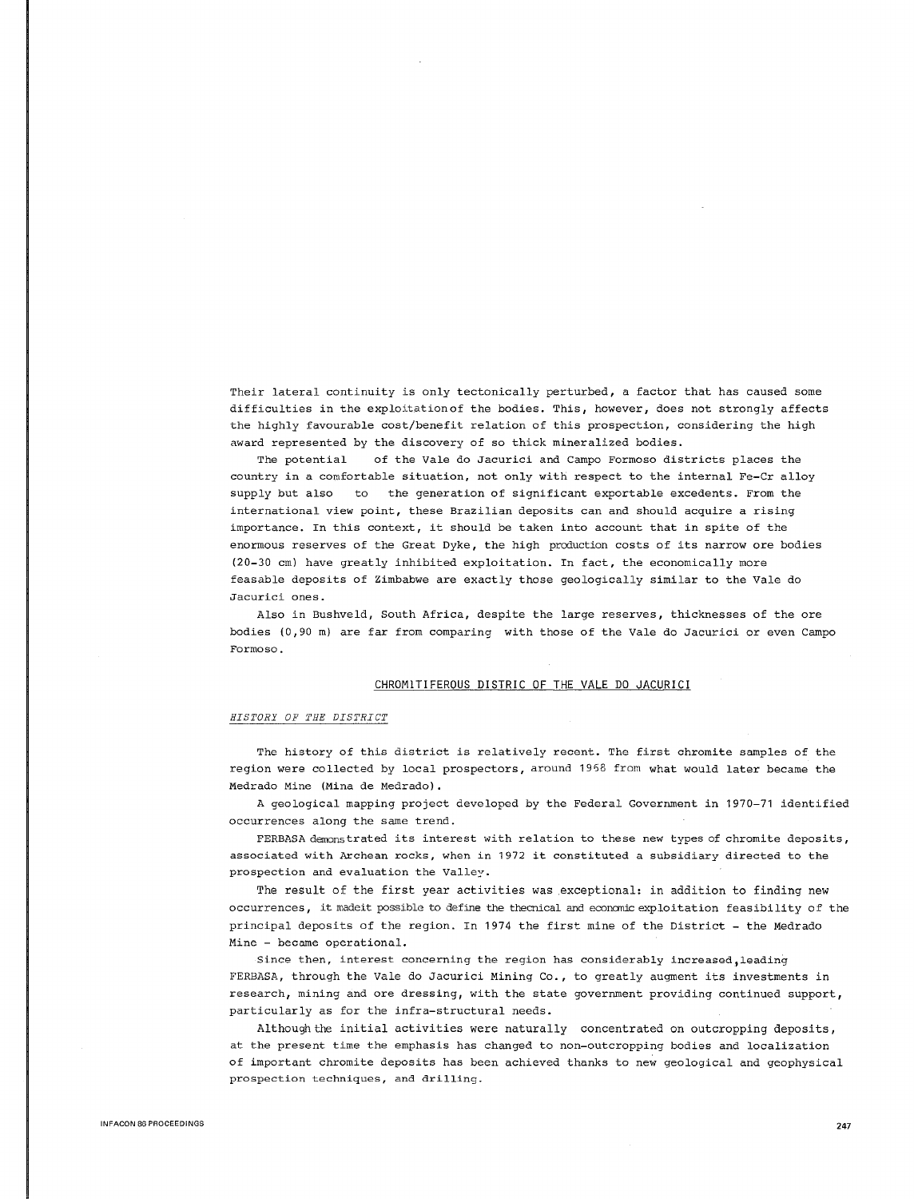Their lateral continuity is only tectonically perturbed, a factor that has caused some difficulties in the exploitation of the bodies. This, however, does not strongly affects the highly favourable cost/benefit relation of this prospection, considering the high award represented by the discovery of so thick mineralized bodies.

The potential of the Vale do Jacurici and Campo Formoso districts places the country in a comfortable situation, not only with respect to the internal Fe-Cr alloy supply but also to the generation of significant exportable excedents. From the international view point, these Brazilian deposits can and should acquire a rising importance. In this context, it should be taken into account that in spite of the enormous reserves of the Great Dyke, the high production costs of its narrow ore bodies (20-30 cm) have greatly inhibited exploitation. In fact, the economically more feasable deposits of Zimbabwe are exactly those geologically similar to the Vale do **Jacurici ones.** 

Also in Bushveld, South Africa, despite the large reserves, thicknesses of the ore bodies (0,90 m) are far from comparing with those of the Vale do Jacurici or even Campo Formoso.

# CHROMITIFEROUS DISTRIC OF THE VALE DO JACURICI

# *HISTORY OF THE DISTRICT*

The history of this district is relatively recent. The first chromite samples of the region were collected by local prospectors, around 1968 from what would later became the Medrado Mine (Mina de Medrado).

A geological mapping project developed by the Federal Government in 1970-71 identified occurrences along the same trend.

FERBASA demonstrated its interest with relation to these new types of chromite deposits, associated with Archean rocks, when in 1972 it constituted a subsidiary directed to the prospection and evaluation the Valley.

The result of the first year activities was exceptional: in addition to finding new occurrences, it madeit possible to define the thecnical and economic exploitation feasibility of the principal deposits of the region. In 1974 the first mine of the District - the Medrado Mine - became operational.

Since then, interest concerning the region has considerably increased,leading FERBASA, through the Vale do Jacurici Mining Co., to greatly augment its investments in research, mining and ore dressing, with the state government providing continued support, particularly as for the infra-structural needs.

Although the initial activities were naturally concentrated on outcropping deposits, at the present time the emphasis has changed to non-outcropping bodies and localization of important chromite deposits has been achieved thanks to new geological and geophysical **prospection techniques, and drilling.**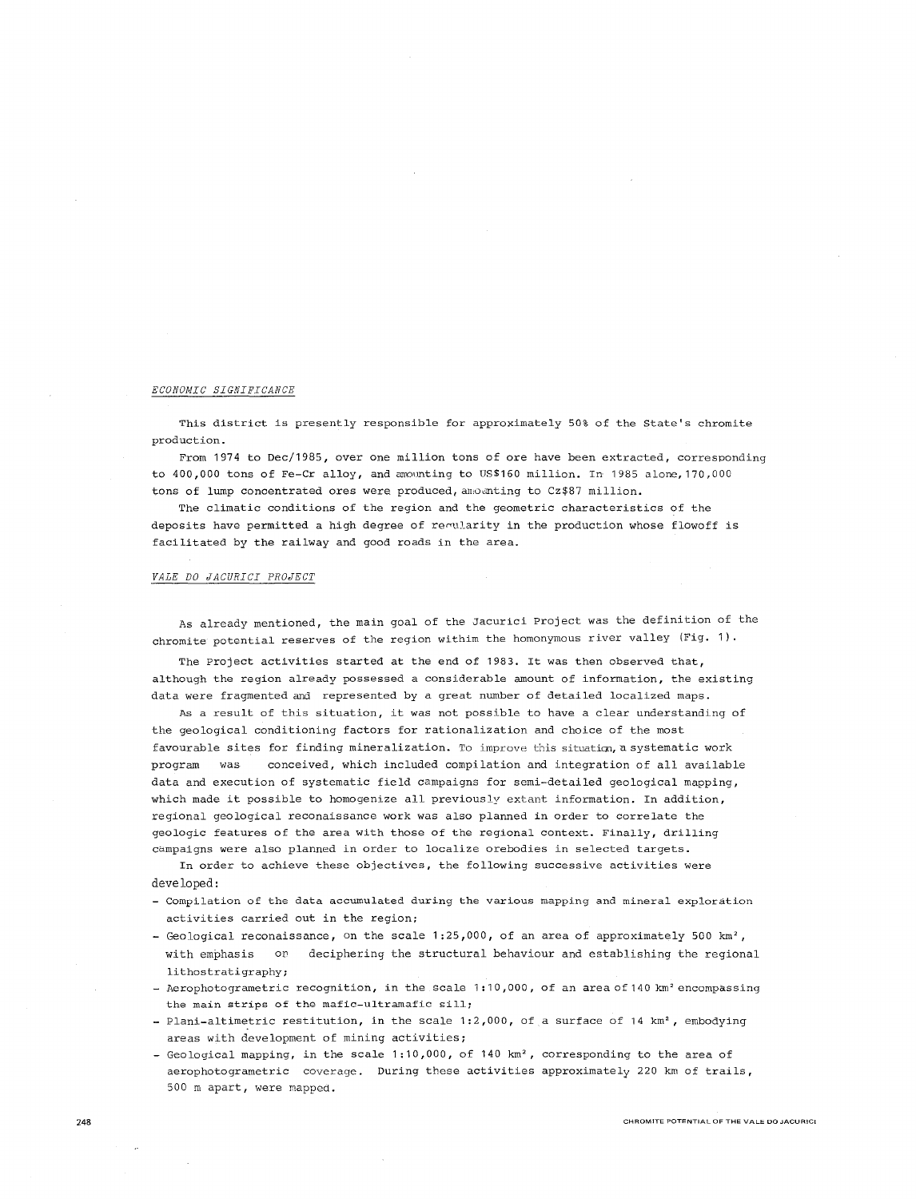# *ECONOMIC SIGNIFICANCE*

This district is presently responsible for approximately 50% of the State's chromite production.

From 1974 to Dec/1985, over one million tons of ore have been extracted, corresponding to 400,000 tons of Fe-Cr alloy, and amounting to US\$160 million. In 1985 alone, 170,000 tons of lump concentrated ores were produced, anounting to Cz\$87 million.

The climatic conditions of the region and the geometric characteristics of the deposits have permitted a high degree of reqularity in the production whose flowoff is facilitated by the railway and good roads in the area.

#### *VALE DO JACURICI PROJECT*

As already mentioned, the main goal of the Jacurici Project was the definition of the chromite potential reserves of the region withim the homonymous river valley (Fig. 1) ·

The Project activities started at the end of 1983. It was then observed that, although the region already possessed a considerable amount of information, the existing data were fragmented and represented by a great number of detailed localized maps.

As a result of this situation, it was not possible to have a clear understanding of the geological conditioning factors for rationalization and choice of the most favourable sites for finding mineralization. To improve this situation, a systematic work program was conceived, which included compilation and integration of all available data and execution of systematic field campaigns for semi-detailed geological mapping, which made it possible to homogenize all previously extant information. In addition, regional geological reconaissance work was also planned in order to correlate the geologic features of the area with those of the regional context. Finally, drilling campaigns were also planned in order to localize orebodies in selected targets.

**In order to achieve these objectives, the following successive activities were**  developed:

- **Compilation of the data accumulated during the various mapping and mineral exploration**  activities carried out in the region;
- Geological reconaissance, on the scale 1:25,000, of an area of approximately 500 km<sup>2</sup>, with emphasis or deciphering the structural behaviour and establishing the regional lithostratigraphy;
- Aerophotogrametric recognition, in the scale 1:10,000, of an area of 140 km<sup>2</sup> encompassing **the main strips of the mafic-ultramafic sill;**
- Plani-altimetric restitution, in the scale 1:2,000, of a surface of 14 km<sup>2</sup>, embodying areas with development of mining activities;
- Geological mapping, in the scale 1:10,000, of 140 km<sup>2</sup>, corresponding to the area of aerophotogrametric coverage. During these activities approximately 220 km of trails, 500 m apart, were mapped.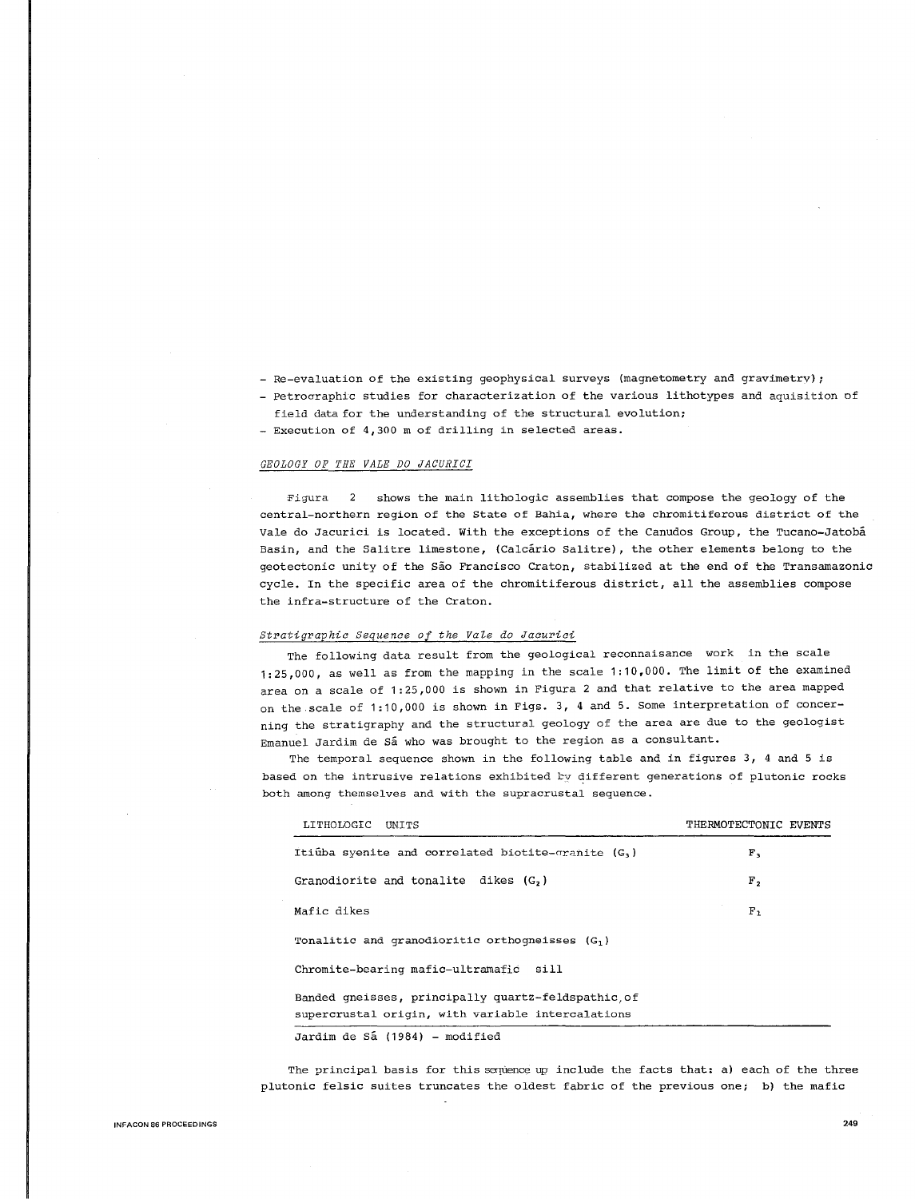- Re-evaluation of the existing geophysical surveys (magnetometry and gravimetry);
- Petrocraphic studies for characterization of the various lithotypes and aquisition of field data for the understanding of the structural evolution;
- Execution of 4,300 m of drilling in selected areas.

# *GEOLOGY OF THE VALE DO JACURICI*

**:Figura** 2 shows the main lithologic assemblies that compose the geology of the central-northern region of the State of Bahia, where the chromitiferous district of the Vale do Jacurici is located. With the exceptions of the Canudos Group, the Tucano-Jatoba Basin, and the Salitre limestone, (Calcario Salitre), the other elements belong to the geotectonic unity of the Sao Francisco Craton, stabilized at the end of the Transamazonic cycle. In the specific area of the chromitiferous district, all the assemblies compose the infra-structure of the Craton.

#### *Stratigraphic Sequence of the Vale do Jacurici*

The following data result from the geological reconnaisance work in the scale 1:25,000, as well as from the mapping in the scale 1:10,000. The limit of the examined area on a scale of 1:25,000 is shown in Figura 2 and that relative to the area mapped on the scale of 1:10,000 is shown in Figs. 3, 4 and 5. Some interpretation of concerning the stratigraphy and the structural geology of the area are due to the geologist Emanuel Jardim de Sá who was brought to the region as a consultant.

The temporal sequence shown in the following table and in figures 3, 4 and 5 is based on the intrusive relations exhibited by different generations of plutonic rocks **both among themselves and with the supracrustal sequence.** 

| LITHOLOGIC UNITS                                                                                        | THERMOTECTONIC EVENTS |
|---------------------------------------------------------------------------------------------------------|-----------------------|
| Itiutha syenite and correlated biotite-granite $(G_1)$                                                  | F <sub>3</sub>        |
| Granodiorite and tonalite dikes (G,)                                                                    | Г,                    |
| Mafic dikes                                                                                             | F <sub>1</sub>        |
| Tonalitic and granodioritic orthogneisses $(G_1)$                                                       |                       |
| Chromite-bearing mafic-ultramafic sill                                                                  |                       |
| Banded qneisses, principally quartz-feldspathic.of<br>supercrustal origin, with variable intercalations |                       |
| Jardim de Sá (1984) - modified                                                                          |                       |

The principal basis for this sequence up include the facts that: a) each of the three plutonic felsic suites truncates the oldest fabric of the previous one; b) the mafic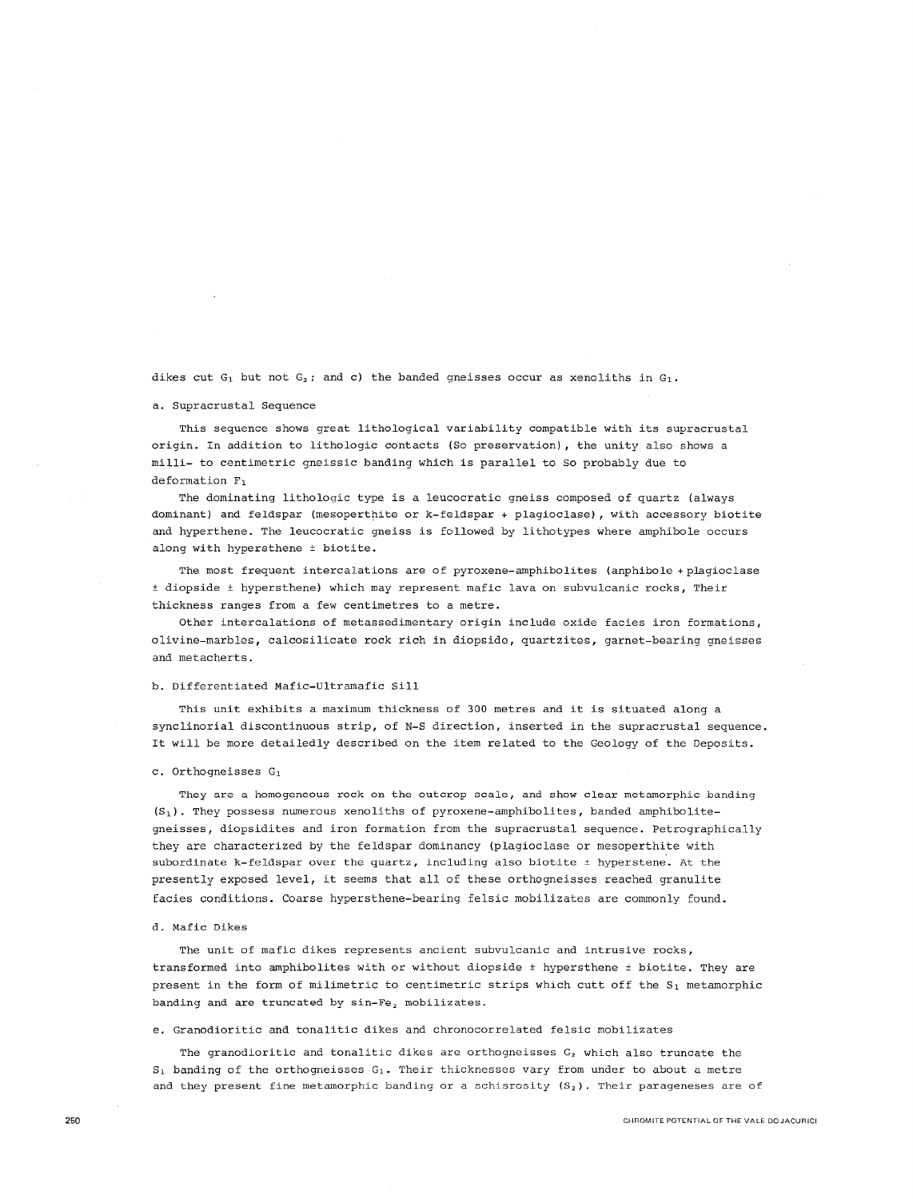dikes cut  $G_1$  but not  $G_2$ ; and c) the banded gneisses occur as xenoliths in  $G_1$ .

#### a. Supracrustal Sequence

This sequence shows great lithological variability compatible with its supracrustal origin. In addition to lithologic contacts (So preservation), the unity also shows a milli- to centimetric gneissic banding which is parallel to So probably due to deformation F1

The dominating lithologic type is a leucocratic gneiss composed of quartz (always dominant) and feldspar (mesoperthite or k-feldspar + plagioclase) , with accessory biotite and hyperthene. The leucocratic gneiss is followed by lithotypes where amphibole occurs along with hypersthene ± biotite.

The most frequent intercalations are of pyroxene-amphibolites (anphibole +plagioclase <sup>±</sup>diopside ± hypersthene) which may represent mafic lava on subvulcanic rocks, Their thickness ranges from a few centimetres to a metre.

Other intercalations of metassedimentary origin include oxide facies iron formations, olivine-marbles, calcosilicate rock rich in diopside, quartzites, garnet-bearing gneisses and metacherts.

### b. Differentiated Mafic-Ultramafic Sill

This unit exhibits a maximum thickness of 300 metres and it is situated along a synclinorial discontinuous strip, of N-S direction, inserted in the supracrustal sequence. It will be more detailedly described on the item related to the Geology of the Deposits.

#### c. Orthogneisses G1

**They are a homogeneous rock on the outcrop scale, and show clear metamorphic banding**  (S <sup>1</sup> ). They possess numerous xenoliths of pyroxene-amphibolites, banded amphibolitegneisses, diopsidites and iron formation from the supracrustal sequence. Petrographically they are characterized by the feldspar dominancy (plagioclase or mesoperthite with subordinate k-feldspar over the quartz, including also biotite  $\pm$  hyperstene. At the presently exposed level, it seems that all of these orthogneisses reached granulite facies conditions. Coarse hypersthene-bearing felsic mobilizates are commonly found.

#### d. Mafic Dikes

**The unit of mafic dikes represents ancient subvulcanic and intrusive rocks,**  transformed into amphibolites with or without diopside  $t$  hypersthene  $t$  biotite. They are present in the form of milimetric to centimetric strips which cutt off the S<sub>1</sub> metamorphic banding and are truncated by sin-Fe<sub>2</sub> mobilizates.

e. Granodioritic and tonalitic dikes and chronocorrelated felsic mobilizates

The granodioritic and tonalitic dikes are orthogneisses  $G_2$  which also truncate the  $S_1$  banding of the orthogneisses  $G_1$ . Their thicknesses vary from under to about a metre **and they present fine metamorphic banding or a schisrosity (S <sup>2</sup> ). Their parageneses are of**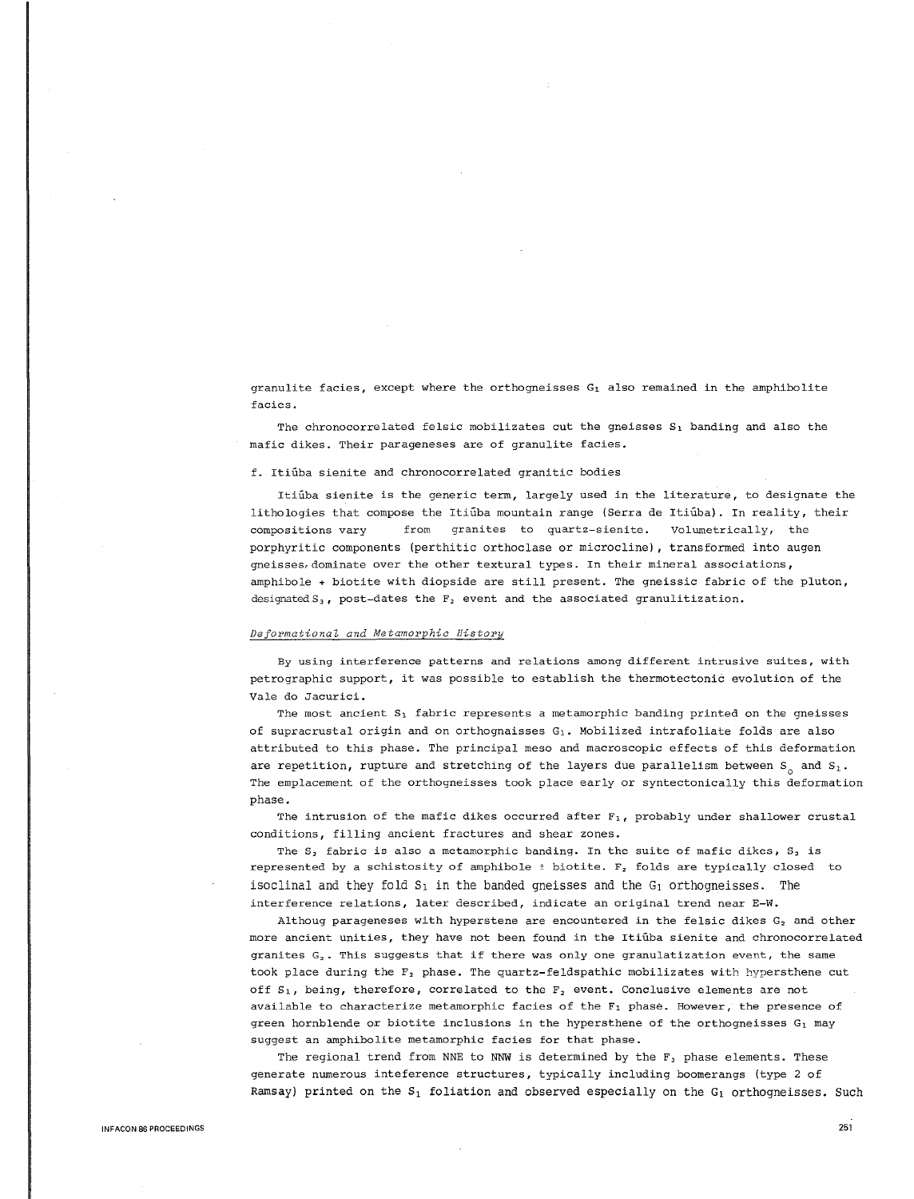granulite facies, except where the orthogneisses  $G_1$  also remained in the amphibolite **facies.** 

The chronocorrelated felsic mobilizates cut the gneisses  $S_1$  banding and also the mafic dikes. Their parageneses are of granulite facies.

f. Itiuba sienite and chronocorrelated granitic bodies

Itiuba sienite is the generic term, largely used in the literature, to designate the lithologies that compose the Itiutba mountain range (Serra de Itiuta). In reality, their compositions vary from granites to quartz-sienite. Volumetrically, the porphyritic components (perthitic orthoclase or microcline), transformed into augen gneisses, dominate over the other textural types. In their mineral associations, amphibole + biotite with diopside are still present. The gneissic fabric of the pluton, designated  $S_3$ , post-dates the  $F_2$  event and the associated granulitization.

### *Deformational and Metamorphic History*

**By using interference patterns and relations among different intrusive suites, with**  petrographic support, it was possible to establish the thermotectonic evolution of the Vale do Jacurici.

The most ancient  $S_1$  fabric represents a metamorphic banding printed on the gneisses of supracrustal origin and on orthognaisses G1 . Mobilized intrafoliate folds are also attributed to this phase. The principal meso and macroscopic effects of this deformation are repetition, rupture and stretching of the layers due parallelism between  $S_0$  and  $S_1$ . The emplacement of the orthogneisses took place early or syntectonically this deformation phase.

The intrusion of the mafic dikes occurred after  $F_1$ , probably under shallower crustal conditions, filling ancient fractures and shear zones.

The  $S_2$  fabric is also a metamorphic banding. In the suite of mafic dikes,  $S_2$  is represented by a schistosity of amphibole  $\pm$  biotite.  $F<sub>2</sub>$  folds are typically closed to isoclinal and they fold  $S_1$  in the banded gneisses and the  $G_1$  orthogneisses. The interference relations, later described, indicate an original trend near E-W.

Althoug parageneses with hyperstene are encountered in the felsic dikes  $G_2$  and other more ancient unities, they have not been found in the Itiuba sienite and chronocorrelated **granites G3 • This suggests that if there was only one granulatization event, the same**  took place during the  $F_2$  phase. The quartz-feldspathic mobilizates with hypersthene cut off  $S_1$ , being, therefore, correlated to the  $F_2$  event. Conclusive elements are not available to characterize metamorphic facies of the F1 phase. However, the presence of green hornblende or biotite inclusions in the hypersthene of the orthogneisses G<sub>1</sub> may suggest an amphibolite metamorphic facies for that phase.

The regional trend from NNE to NNW is determined by the  $F_3$  phase elements. These generate numerous inteference structures, typically including boomerangs (type 2 of Ramsay) printed on the  $S_1$  foliation and observed especially on the  $G_1$  orthogneisses. Such

251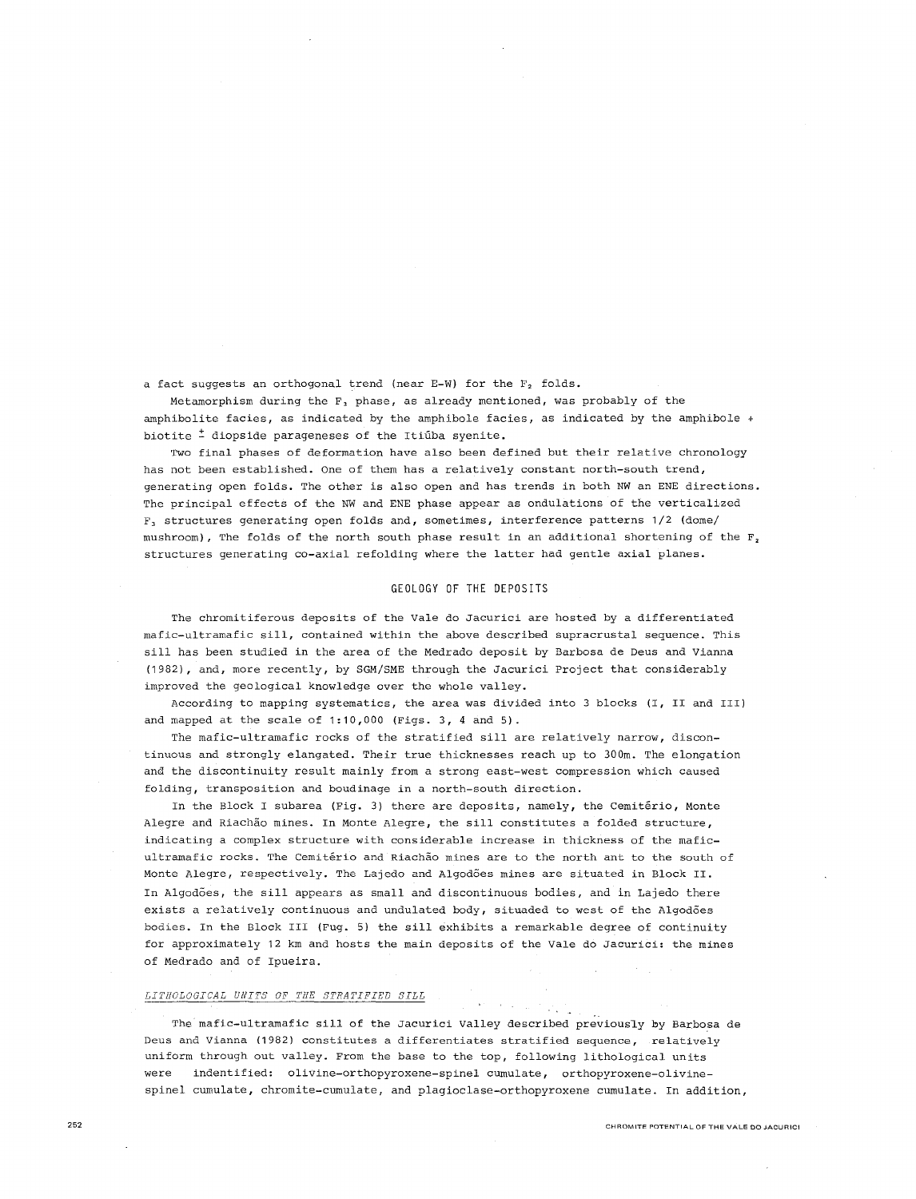a fact suggests an orthogonal trend (near E-W) for the  $F_2$  folds.

Metamorphism during the  $F_3$  phase, as already mentioned, was probably of the amphibolite facies, as indicated by the amphibole facies, as indicated by the amphibole  $+$ biotite  $\frac{1}{n}$  diopside parageneses of the Itiuba syenite.

Two final phases of deformation have also been defined but their relative chronology has not been established. One of them has a relatively constant north-south trend, generating open folds. The other is also open and has trends in both NW an ENE directions. The principal effects of the NW and ENE phase appear as ondulations of the verticalized  $F_3$  structures generating open folds and, sometimes, interference patterns 1/2 (dome/ mushroom), The folds of the north south phase result in an additional shortening of the  $F_2$ structures generating co-axial refolding where the latter had gentle axial planes.

# GEOLOGY OF THE DEPOSITS

The chromitiferous deposits of the Vale do Jacurici are hosted by a differentiated mafic-ultramafic sill, contained within the above described supracrustal sequence. This sill has been studied in the area of the Medrado deposit by Barbosa de Deus and Vianna (1982), and, more recently, by SGM/SME through the Jacurici Project that considerably improved the geological knowledge over the whole valley.

According to mapping systematics, the area was divided into 3 blocks (I, II and III) and mapped at the scale of 1:10,000 (Figs. 3, 4 and 5).

The mafic-ultramafic rocks of the stratified sill are relatively narrow, discontinuous and strongly elangated. Their true thicknesses reach up to 300m. The elongation and the discontinuity result mainly from a strong east-west compression which caused folding, transposition and boudinage in a north-south direction.

In the Block I subarea (Fig. 3) there are deposits, namely, the Cemitério, Monte Alegre and Riachao mines. In Monte Alegre, the sill constitutes a folded structure, indicating a complex structure with considerable increase in thickness of the maficultramafic rocks. The Cemiterio and Riachao mines are to the north ant to the south of Monte Alegre, respectively. The Lajedo and Algodoes mines are situated in Block II. In Algodoes, the sill appears as small and discontinuous bodies, and in Lajedo there exists a relatively continuous and undulated body, situaded to west of the Algodões bodies. In the Block III (Fug. 5) the sill exhibits a remarkable degree of continuity for approximately 12 km and hosts the main deposits of the Vale do Jacurici: the mines of Medrado and of Ipueira.

#### *LITHOLOGICAL UNITS OF THE STRATIFIED SILL*

The mafic-ultramafic sill of the Jacurici Valley described previously by Barbosa de Deus and Vianna (1982) constitutes a differentiates stratified sequence, relatively uniform through out valley. From the base to the top, following lithological units were indentified: olivine-orthopyroxene-spinel cumulate, orthopyroxene-olivinespinel cumulate, chromite-cumulate, and plagioclase-orthopyroxene cumulate. In addition,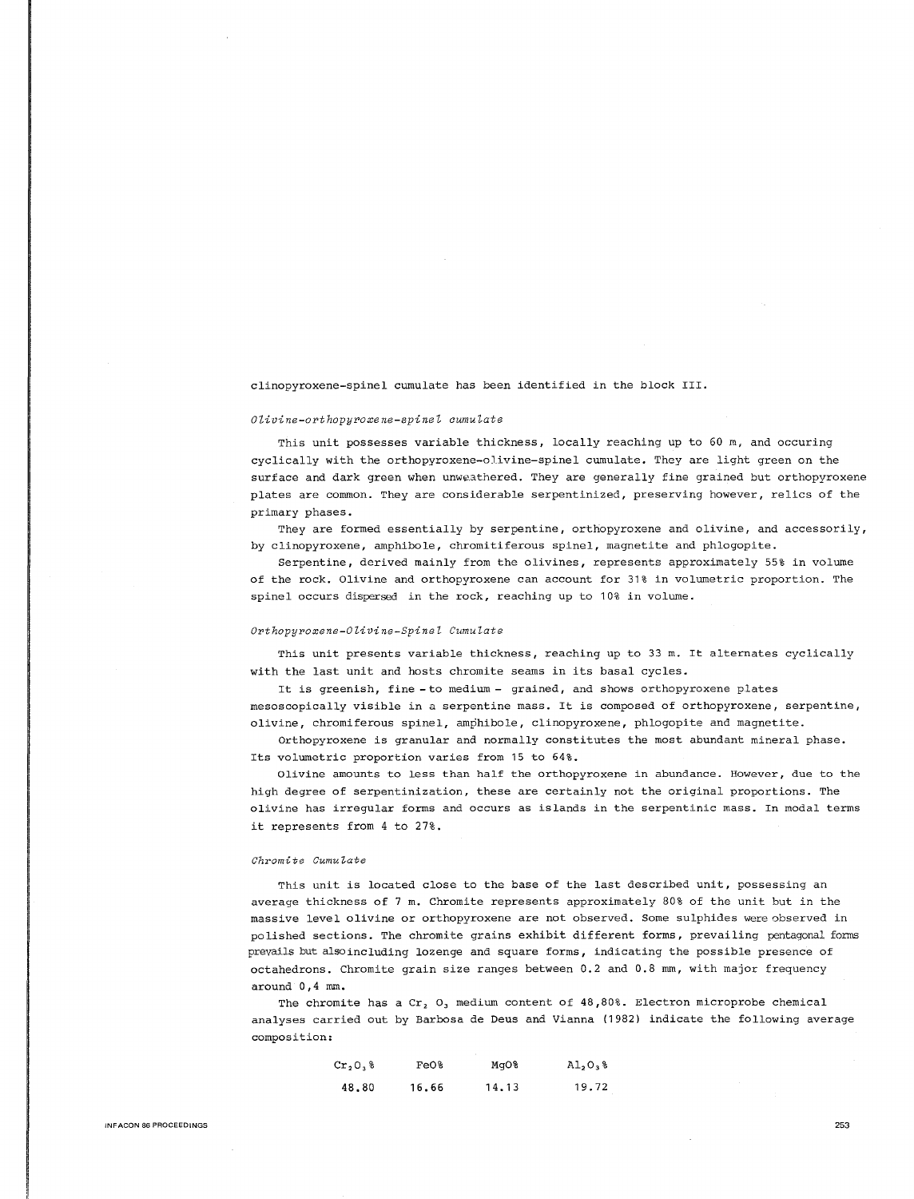clinopyroxene-spinel cumulate has been identified in the block III.

#### *Olivine-orthopyroxene-spinel cumulate*

This unit possesses variable thickness, locally reaching up to 60 m, and occuring cyclically with the orthopyroxene-olivine-spinel cumulate. They are light green on the surface and dark green when unweathered. They are generally fine grained but orthopyroxene plates are common. They are considerable serpentinized, preserving however, relics of the primary phases.

They are formed essentially by serpentine, orthopyroxene and olivine, and accessorily, by clinopyroxene, amphibole, chromitiferous spinel, magnetite and phlogopite.

Serpentine, derived mainly from the olivines, represents approximately 55% in volume of the rock. Olivine and orthopyroxene can account for 31% in volumetric proportion. The spinel occurs dispersed in the rock, reaching up to 10% in volume.

#### *Orthopyroxene-Olivine-Spinel Cumulate*

This unit presents variable thickness, reaching up to 33 m. It alternates cyclically with the last unit and hosts chromite seams in its basal cycles.

It is greenish, fine - to medium - grained, and shows orthopyroxene plates mesoscopically visible in a serpentine mass. It is composed of orthopyroxene, serpentine, olivine, chromiferous spinel, amphibole, clinopyroxene, phlogopite and magnetite.

Orthopyroxene is granular and normally constitutes the most abundant mineral phase. Its volumetric proportion varies from 15 to 64%.

Olivine amounts to less than half the orthopyroxene in abundance. However, due to the high degree of serpentinization, these are certainly not the original proportions. The olivine has irregular forms and occurs as islands in the serpentinic mass. In modal terms it represents from 4 to 27%.

### *Chromite Cumuiate*

This unit is located close to the base of the last described unit, possessing an average thickness of 7 m. Chromite represents approximately 80% of the unit but in the massive level olivine or orthopyroxene are not observed. Some sulphides were observed in polished sections. The chromite grains exhibit different forms, prevailing pentagonal forms prevails but also including lozenge and square forms, indicating the possible presence of octahedrons. Chromite grain size ranges between 0.2 and 0.8 mm, with major frequency around 0,4 mm.

The chromite has a Cr,  $O_3$  medium content of 48,80%. Electron microprobe chemical analyses carried out by Barbosa de Deus and Vianna (1982) indicate the following average composition:

| $Cr2O3$ % | Fe0%  | MgO%  | A1,0,8 |
|-----------|-------|-------|--------|
| 48.80     | 16.66 | 14.13 | 19.72  |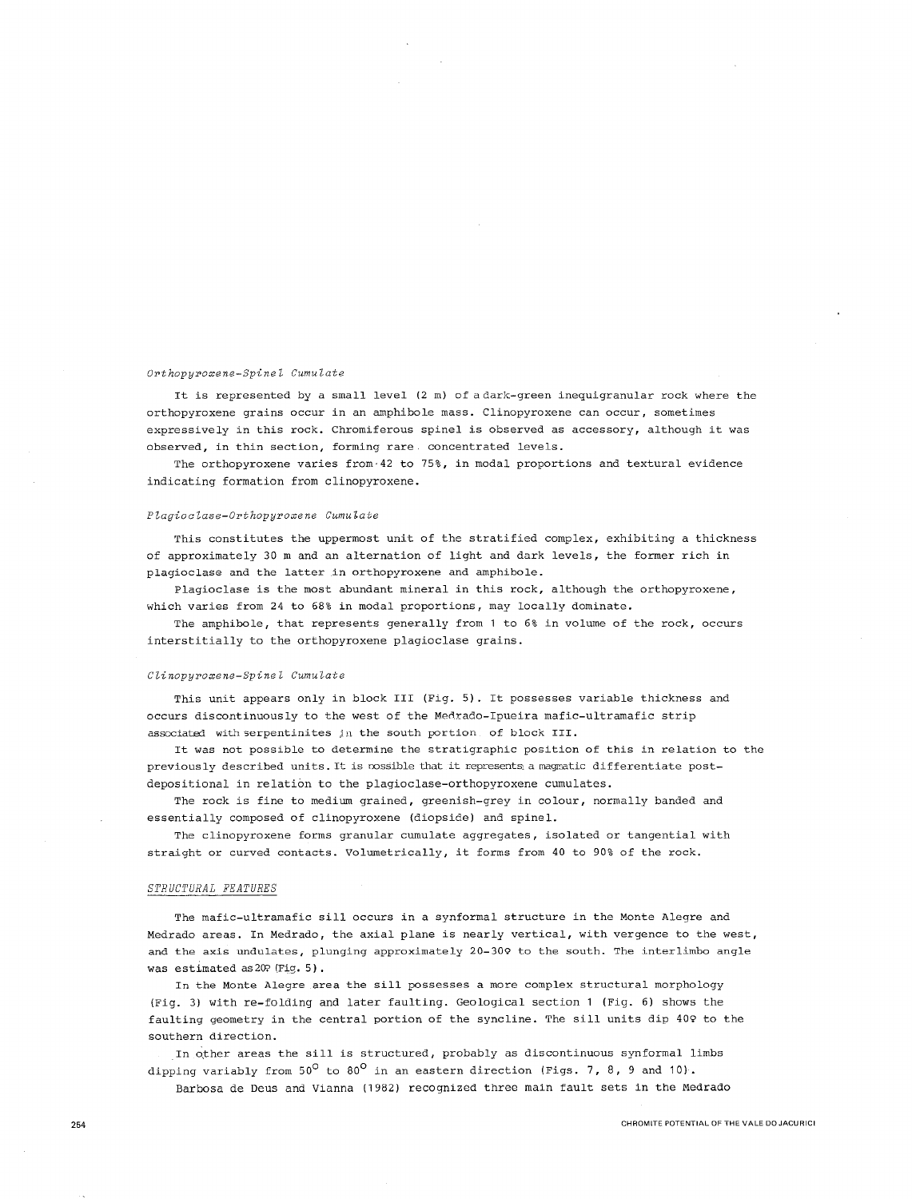#### *Orthopyroxene-Spinel Cumulate*

It is represented by a small level (2 m) of a dark-green inequigranular rock where the orthopyroxene grains occur in an amphibole mass. Clinopyroxene can occur, sometimes expressively in this rock. Chromiferous spinel is observed as accessory, although it was **observed, in thin section, forming rare concentrated levels.** 

The orthopyroxene varies from·42 to 75%, in modal proportions and textural evidence indicating formation from clinopyroxene.

#### *Plagioolase-Orthopyroxene Cumulate*

This constitutes the uppermost unit of the stratified complex, exhibiting a thickness of approximately 30 m and an alternation of light and dark levels, the former rich in plagioclase and the latter in orthopyroxene and amphibole.

Plagioclase is the most abundant mineral in this rock, although the orthopyroxene, which varies from 24 to 68% in modal proportions, may locally dominate.

The amphibole, that represents generally from 1 to 6% in volume of the rock, occurs interstitially to the orthopyroxene plagioclase grains.

#### *Clinopyroxene-Spinel Cumulate*

This unit appears only in block III (Fig. 5). It possesses variable thickness and occurs discontinuously to the west of the Medrado-Ipueira mafic-ultramafic strip associated with serpentinites in the south portion. of block III.

It was not possible to determine the stratigraphic position of this in relation to the previously described units. It is rossible that it represents a magmatic differentiate postdepositional in relation to the plagioclase-orthopyroxene cumulates.

The rock is fine to medium grained, greenish-grey in colour, normally banded and essentially composed of clinopyroxene (diopside) and spinel.

The clinopyroxene forms granular cumulate aggregates, isolated or tangential with straight or curved contacts. Volumetrically, it forms from 40 to 90% of the rock.

#### *STRUCTURAL FEATURES*

The mafic-ultramafic sill occurs in a synformal structure in the Monte Alegre and Medrado areas. In Medrado, the axial plane is nearly vertical, with vergence to the west, and the axis undulates, plunging approximately 20-309 to the south. The interlimbo angle was estimated as 20? (Fig. 5) •

In the Monte Alegre area the sill possesses a more complex structural morphology (Fig. 3) with re-folding and later faulting. Geological section 1 (Fig. 6) shows the faulting geometry in the central portion of the syncline. The sill units dip 409 to the southern direction.

In other areas the sill is structured, probably as discontinuous synformal limbs dipping variably from  $50^{\circ}$  to  $80^{\circ}$  in an eastern direction (Figs. 7, 8, 9 and 10).

Barbosa de Deus and Vianna (1982) recognized three main fault sets in the Medrado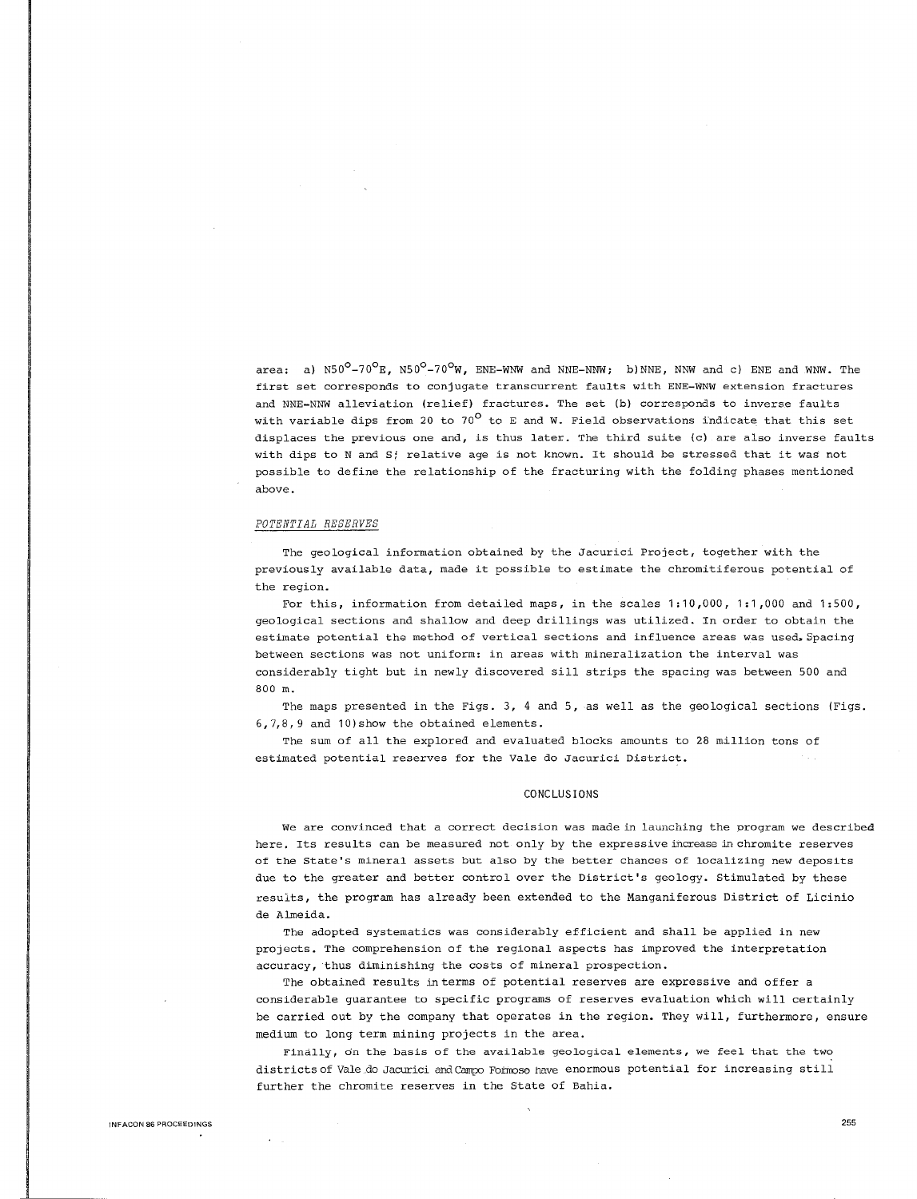area: a)  $N50^{\circ}-70^{\circ}$ E,  $N50^{\circ}-70^{\circ}$ W, ENE-WNW and NNE-NNW; b)NNE, NNW and c) ENE and WNW. The first set corresponds to conjugate transcurrent faults with ENE-WNW extension fractures and NNE-NNW alleviation (relief) fractures. The set (b) corresponds to inverse faults with variable dips from 20 to 70<sup>0</sup> to E and W. Field observations indicate that this set displaces the previous one and, is thus later. The third suite (c) are also inverse faults with dips to N and S; relative age is not known. It should be stressed that it was not possible to define the relationship of the fracturing with the folding phases mentioned above.

# *POTENTIAL RESERVES*

The geological information obtained by the Jacurici Project, together with the previously available data, made it possible to estimate the chromitiferous potential of the region.

For this, information from detailed maps, in the scales 1:10,000, 1:1 ,000 and 1:500, geological sections and shallow and deep drillings was utilized. In order to obtain the estimate potential the method of vertical sections and influence areas was used. Spacing between sections was not uniform: in areas with mineralization the interval was considerably tight but in newly discovered sill strips the spacing was between 500 and 800 m.

The maps presented in the Figs. 3, 4 and 5, as well as the geological sections (Figs. 6,7,8, 9 and 10)show the obtained elements.

The sum of all the explored and evaluated blocks amounts to 28 million tons of estimated potential reserves for the Vale do Jacurici District.

#### CONCLUSIONS

**We are convinced that a correct decision was made in launching the program we described**  here. Its results can be measured not only by the expressive increase in chromite reserves of the State's mineral assets but also by the better chances of localizing new deposits due to the greater and better control over the District's geology. Stimulated by these results, the program has already been extended to the Manganiferous District of Licinio de Almeida.

The adopted systematics was considerably efficient and shall be applied in new projects. The comprehension of the regional aspects has improved the interpretation accuracy, thus diminishing the costs of mineral prospection.

The obtained results in terms of potential reserves are expressive and offer a considerable guarantee to specific programs of reserves evaluation which will certainly be carried out by the company that operates in the region. They will, furthermore, ensure medium to long term mining projects in the area.

**Findlly, On the basis of the available geological elements, we feel that the two**  districts of Vale do Jacurici and Campo Formoso have enormous potential for increasing still further the chromite reserves in the State of Bahia.

 $\sim 10$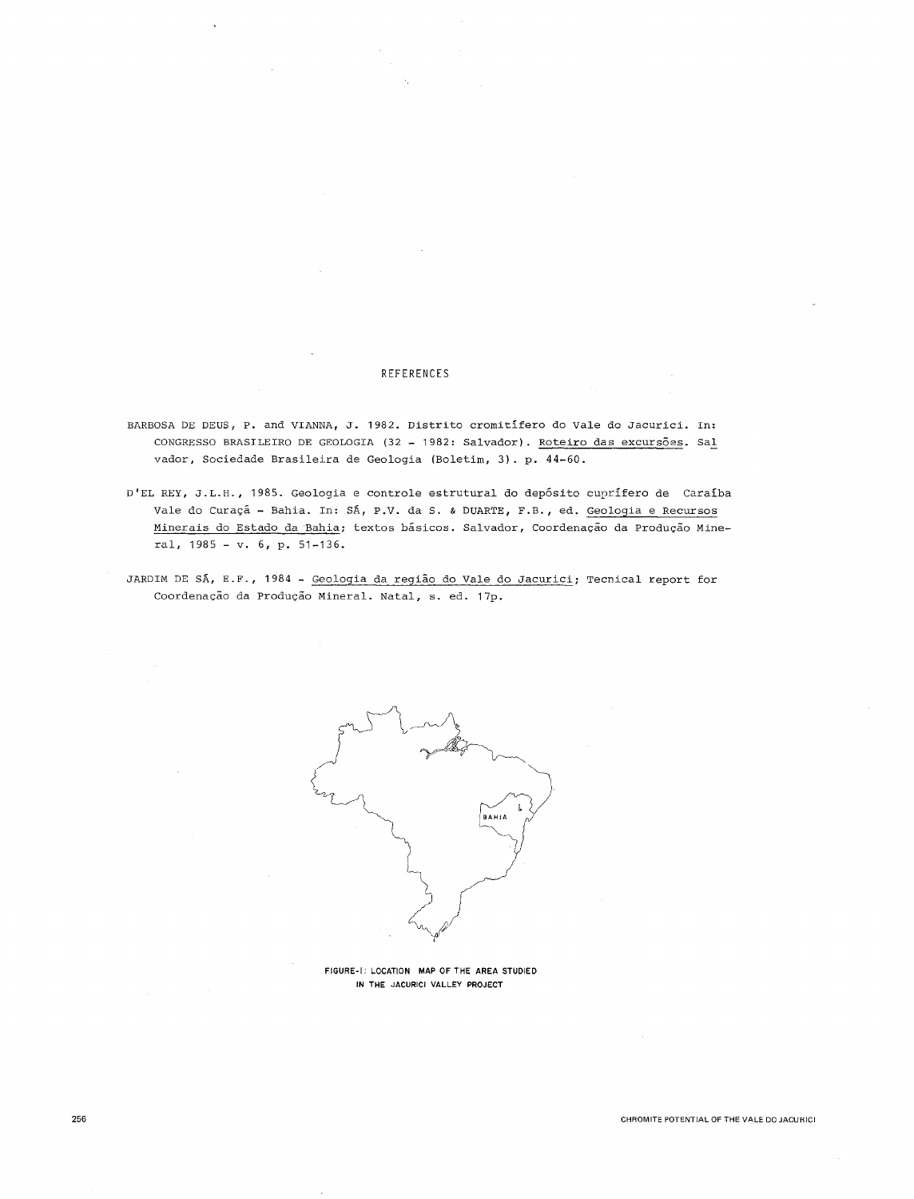# REFERENCES

- BARBOSA DE DEUS, P. and VIANNA, J. 1982. Distrito cromitifero do Vale do Jacurici. In: CONGRESSO BRASILEIRO DE GEOLOGIA (32 - 1982: Salvador). Roteiro das excursões. Sal vador, Sociedade Brasileira de Geologia (Boletim, 3). p. 44-60.
- D'EL REY, J.L.H., 1985. Geologia e controle estrutural do deposito cuprifero de Caraiba Vale do Curaçã - Bahia. In: SÁ, P.V. da S. & DUARTE, F.B., ed. Geologia e Recursos Minerais do Estado da Bahia; textos basicos. Salvador, Coordenagao da Produgao Mineral, 1985 - v. 6, p. 51-136.
- JARDIM DE SA, E.F., 1984 Geologia da regiao do Vale do Jacurici; Tecnical report for Coordenação da Produção Mineral. Natal, s. ed. 17p.



FIGURE-I: LOCATION MAP OF THE AREA STUDIED **IN THE** JACURICI VALLEY PROJECT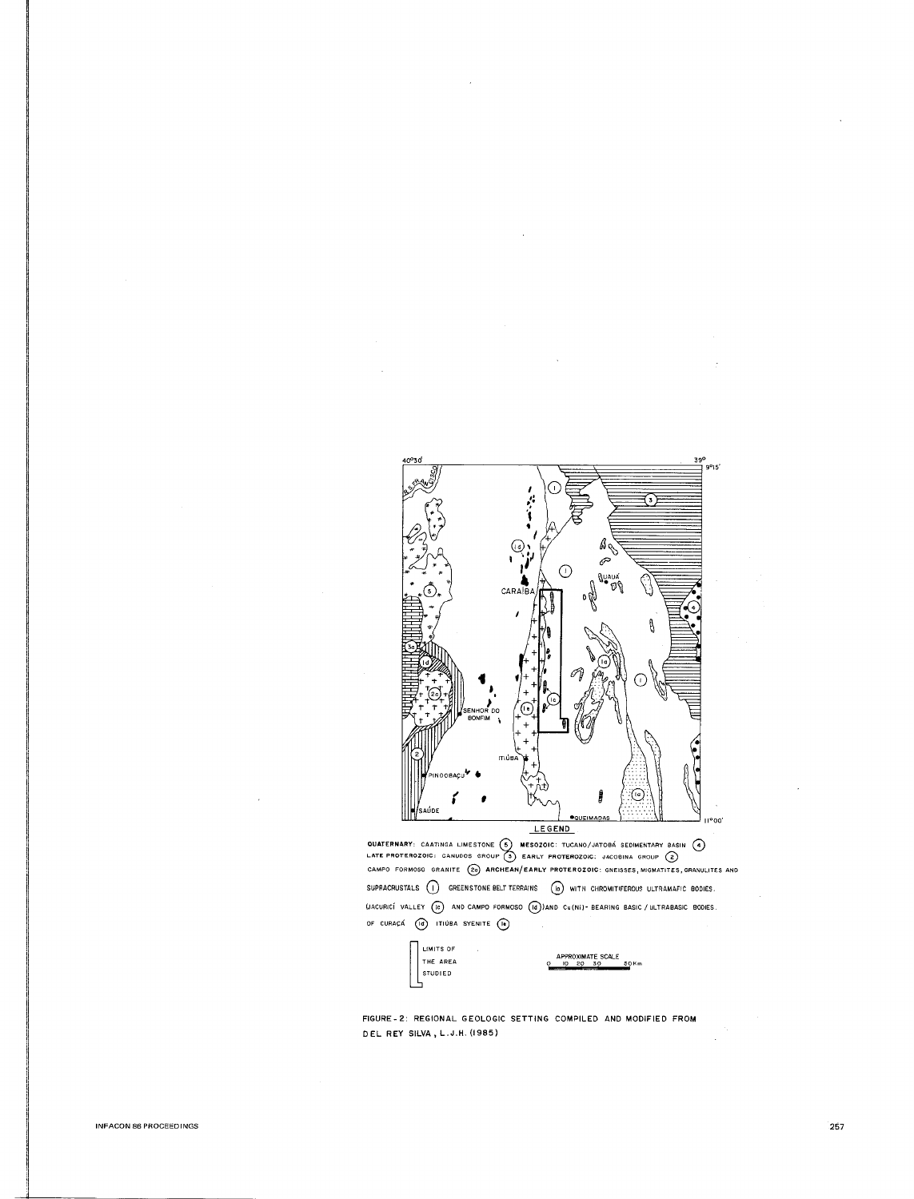

QUATERNARY: CAATINGA LIMESTONE (S) MESOZOIC: TUCANO/JATOBÁ SEDIMENTARY BASIN (4)<br>LATE PROTEROZOIC: CANUDOS GROUP (3) EARLY PROTEROZOIC: JACOBINA GROUP (2)<br>CAMPO FORMOSO GRANITE (20) ARCHEAN/EARLY PROTEROZOIC: GNEISSES, MIG SUPRACRUSTALS  $\bigcirc$  GREENSTONE BELT TERRAINS  $\bigcirc$  with chromitiferous ultramafic bodies. WACURICÍ VALLEY (E) AND CAMPO FORMOSO (B) AND Cu(NI) - BEARING BASIC / ULTRABASIC BODIES. OF CURAÇÁ (1) ITIÚBA SYENITE (1)



FIGURE-2: REGIONAL GEOLOGIC SETTING COMPILED AND MODIFIED FROM DEL REY SILVA, L.J.H. (1985)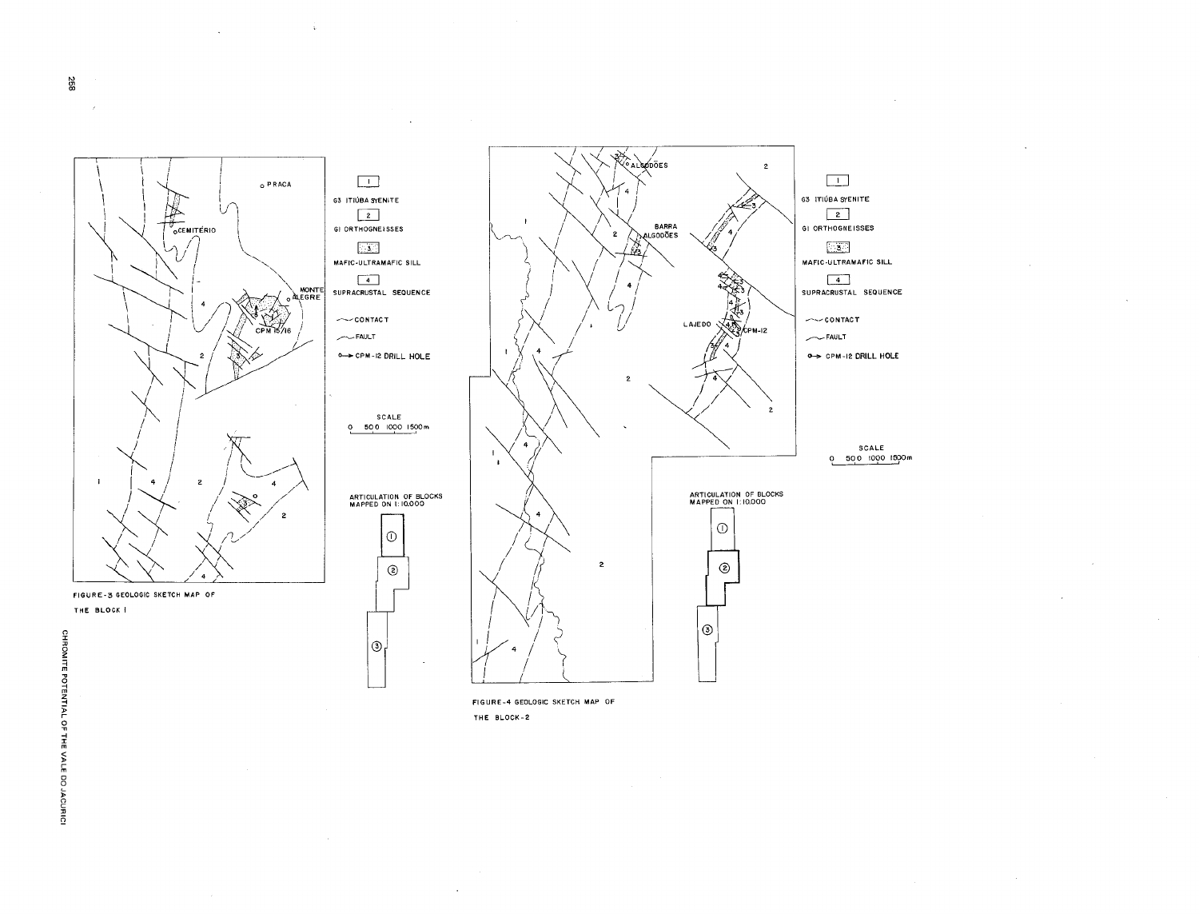

 $|_{\circlearrowleft}$ 

÷

**ALSODOES**  $\overline{2}$  $\Box$ **G3 ITIÚBA SYENITE** BARRA<br>PALGODOES  $\boxed{2}$ GI ORTHOGNEISSES िङ MAFIC-ULTRAMAFIC SILL  $\sqrt{4}$ SUPRACRUSTAL SEQUENCE  $\sim$ -contact LAJEDO VAIN kem-12  $\sim$ FAULT O-> CPM-12 DRILL HOLE SCALE  $0.50010001500m$ ARTICULATION OF BLOCKS<br>MAPPED ON 1:10.000  $\odot$  $^{\circ}$  $\odot$ 

FIGURE-4 GEOLOGIC SKETCH MAP OF THE BLOCK-2

258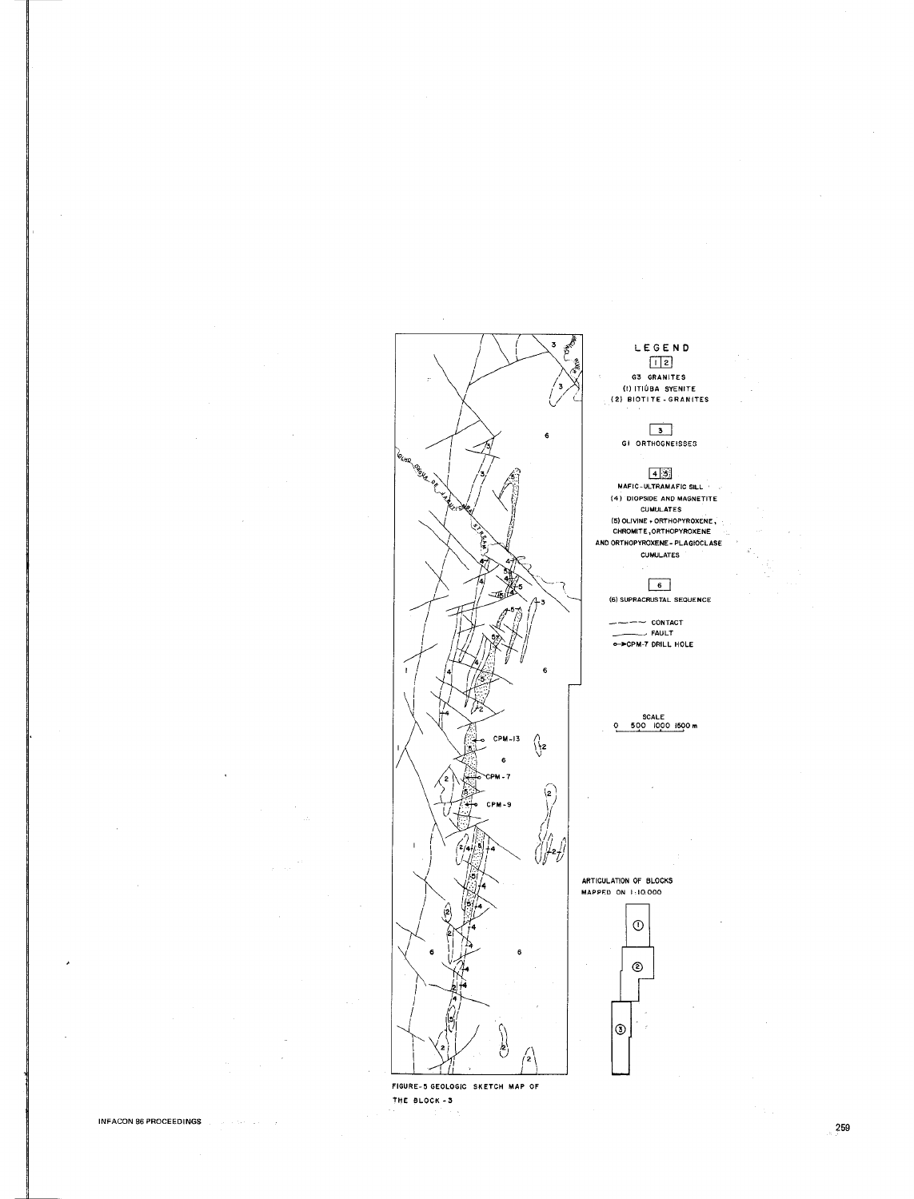

FIGURE-5 GEOLOGIC SKETCH MAP OF THE BLOCK-3

LEGEND  $\boxed{12}$ 

G3 GRANITES (I) ITIÚBA SYENITE<br>(2) BIOTITE - GRANITES

# 3<br>GI ORTHOGNEISSES

 $\begin{array}{r} \boxed{4 \ \boxed{3}} \\ \boxed{3} \\ \text{MAFIC-ULTRAMAFIC SILL} \\ \text{(4) DIOPSIDE AND MAGNETITE)} \end{array}$ CUMULATES CUMULATES<br>
(5) OLIVINE + ORTHOPYROXENE<br>
CHROMITE, ORTHOPYROXENE<br>
AND ORTHOPYROXENE - PLAGIOCLASE<br>
CUMULATES

# $6$ (6) SUPRACRUSTAL SEQUENCE

-- CONTACT  $F$  CONTACT<br>  $F$  FAULT<br>  $F$  PCPM-7 DRILL HOLE

SCALE<br>500 1000 1500 m o

ARTICULATION OF BLOCKS MAPPED ON 1:10.000

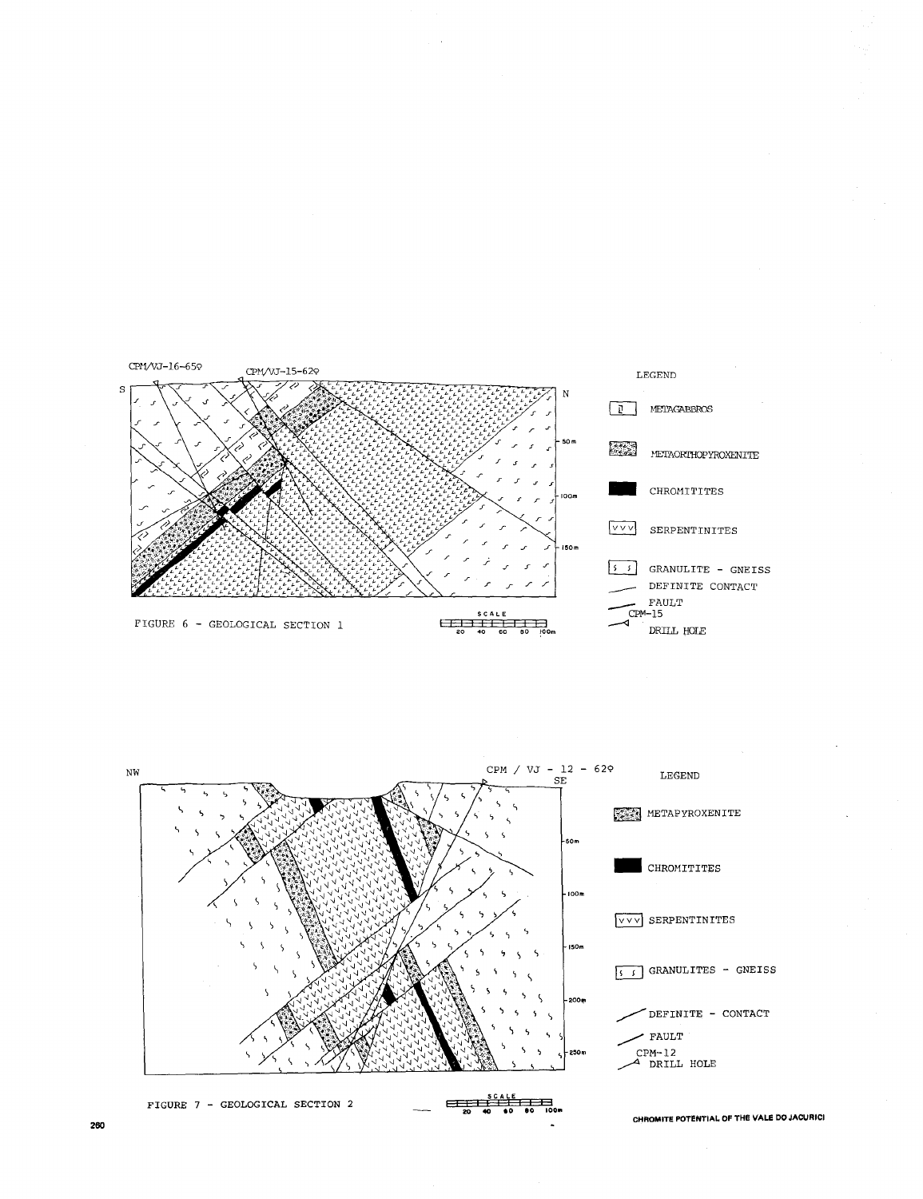



**260**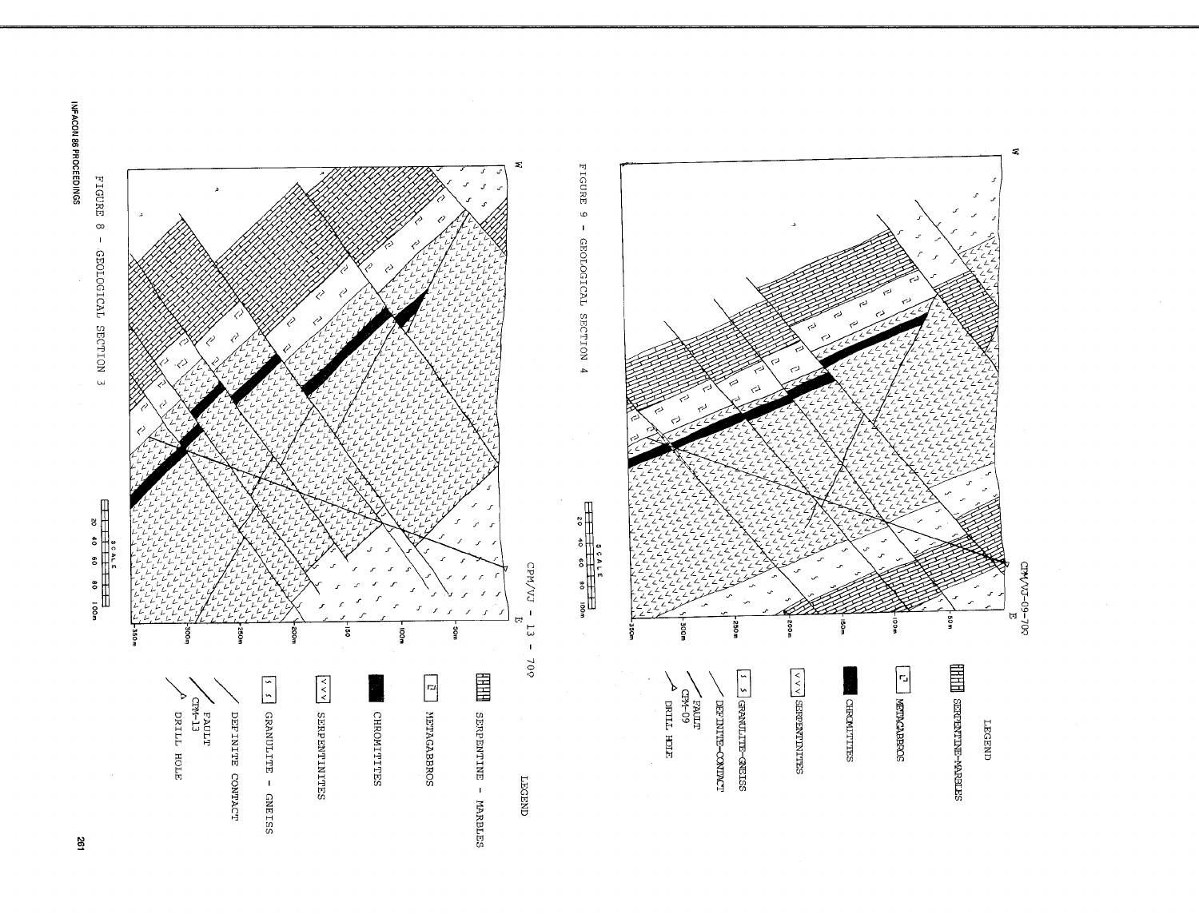